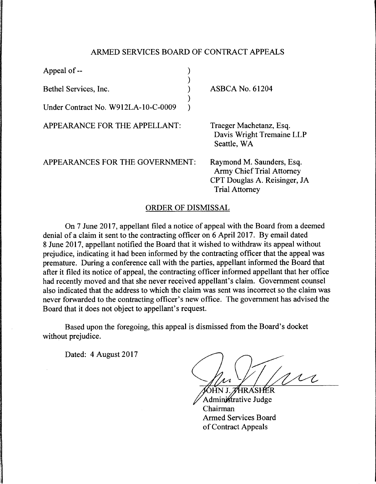## ARMED SERVICES BOARD OF CONTRACT APPEALS

| Appeal of --                        |                                                                                                                        |
|-------------------------------------|------------------------------------------------------------------------------------------------------------------------|
| Bethel Services, Inc.               | <b>ASBCA No. 61204</b>                                                                                                 |
| Under Contract No. W912LA-10-C-0009 |                                                                                                                        |
| APPEARANCE FOR THE APPELLANT:       | Traeger Machetanz, Esq.<br>Davis Wright Tremaine LLP<br>Seattle, WA                                                    |
| APPEARANCES FOR THE GOVERNMENT:     | Raymond M. Saunders, Esq.<br><b>Army Chief Trial Attorney</b><br>CPT Douglas A. Reisinger, JA<br><b>Trial Attorney</b> |

## ORDER OF DISMISSAL

On 7 June 2017, appellant filed a notice of appeal with the Board from a deemed denial of a claim it sent to the contracting officer on 6 April 2017. By email dated 8 June 2017, appellant notified the Board that it wished to withdraw its appeal without prejudice, indicating it had been informed by the contracting officer that the appeal was premature. During a conference call with the parties, appellant informed the Board that after it filed its notice of appeal, the contracting officer informed appellant that her office had recently moved and that she never received appellant's claim. Government counsel also indicated that the address to which the claim was sent was incorrect so the claim was never forwarded to the contracting officer's new office. The government has advised the Board that it does not object to appellant's request.

Based upon the foregoing, this appeal is dismissed from the Board's docket without prejudice.

Dated: 4 August 2017

m MHR A'SHEER

Administrative Judge Chairman Armed Services Board of Contract Appeals